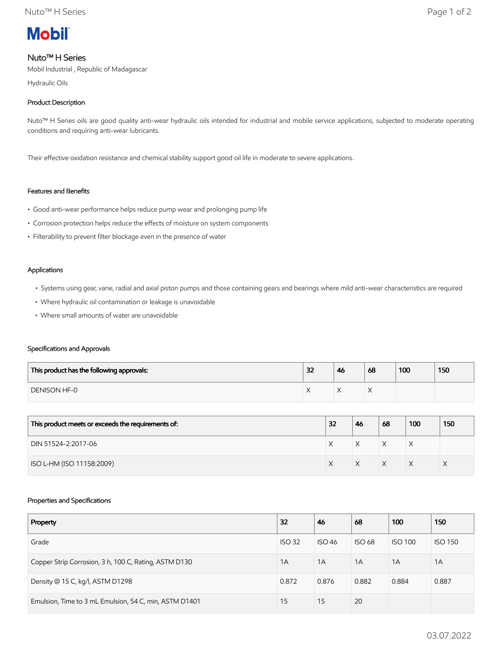

# Nuto™ H Series

Mobil Industrial , Republic of Madagascar

Hydraulic Oils

# Product Description

Nuto<sup>™</sup> H Series oils are good quality anti-wear hydraulic oils intended for industrial and mobile service applications, subjected to moderate operating conditions and requiring anti-wear lubricants.

Their effective oxidation resistance and chemical stability support good oil life in moderate to severe applications.

## Features and Benefits

- Good anti-wear performance helps reduce pump wear and prolonging pump life
- Corrosion protection helps reduce the effects of moisture on system components
- Filterability to prevent filter blockage even in the presence of water

#### Applications

- Systems using gear, vane, radial and axial piston pumps and those containing gears and bearings where mild anti-wear characteristics are required
- Where hydraulic oil contamination or leakage is unavoidable
- Where small amounts of water are unavoidable

### Specifications and Approvals

| This product has the following approvals: | 32 | 46 | 68 | 100 | 150 |
|-------------------------------------------|----|----|----|-----|-----|
| <b>DENISON HF-0</b>                       |    |    |    |     |     |

| This product meets or exceeds the requirements of: | 32 | 46 | 68           | 100 | 150 |
|----------------------------------------------------|----|----|--------------|-----|-----|
| DIN 51524-2:2017-06                                |    |    | $\checkmark$ | ⋏   |     |
| ISO L-HM (ISO 11158:2009)                          |    |    | $\checkmark$ |     |     |

### Properties and Specifications

| Property                                               | 32            | 46            | 68            | 100            | 150            |
|--------------------------------------------------------|---------------|---------------|---------------|----------------|----------------|
| Grade                                                  | <b>ISO 32</b> | <b>ISO 46</b> | <b>ISO 68</b> | <b>ISO 100</b> | <b>ISO 150</b> |
| Copper Strip Corrosion, 3 h, 100 C, Rating, ASTM D130  | 1A            | 1A            | 1A            | 1A             | 1A             |
| Density @ 15 C, kg/l, ASTM D1298                       | 0.872         | 0.876         | 0.882         | 0.884          | 0.887          |
| Emulsion, Time to 3 mL Emulsion, 54 C, min, ASTM D1401 | 15            | 15            | 20            |                |                |